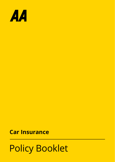

# **Car Insurance**

# Policy Booklet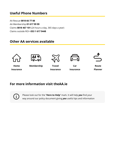# **Useful Phone Numbers**

AA Rescue **0818 66 77 88** AA Membership **01 617 99 99** Claims **0818 467 101** (24 hours a day, 365 days a year) Claims outside ROI **+353 1 617 9448**

# **Other AA services available**











**Home Membership Insurance**

**Travel Insurance**

**Car Insurance**

**Route Planner**

# **For more information visit theAA.ie**



Please look out for the "**Here to Help**" mark. It will help *you* find your way around our policy document giving *you* useful tips and information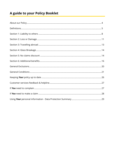# A guide to your Policy Booklet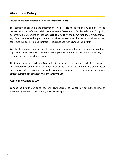# **About our Policy**

Insurance has been affected between the *Insurer* and *You*.

The contract is based on the information *You* provided to us, when *You* applied for the insurance and this information is in the most recent Statement of Fact issued to *You*. This policy document, the Statement of Fact, *Schedule of Insurance*, the *Certificate of Motor Insurance*, any *Endorsements* and any documents provided by *You* must, be read as a whole as they constitute the legally binding contract of insurance between *You* and the *Insurer*.

*You* should keep copies of any supplementary questionnaires, documents, or letters *You* have supplied to us as part of your new business application, for *Your* future reference, as they will form part of the contract of insurance.

The *Insurer* has agreed to insure *You* subject to the terms, conditions and exclusions contained in or endorsed upon this policy document against such liability, loss or damage that may occur during any period of insurance for which *You* have paid or agreed to pay the premium as is directly sustained in connection with the *Insured Car*.

#### **Applicable Contract Law**

*You* and the *Insurer* are free to choose the law applicable to this contract but in the absence of a written agreement to the contrary, Irish law will apply.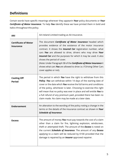# **Definitions**

Certain words have specific meanings wherever they appearin *Your* policy documents or *Your Certificate of Motor Insurance*. To help *You* identify these we have printed them in bold and italics throughout this policy.

| AAI                                      | AA Ireland Limited trading as AA Insurance.                                                                                                                                                                                                                                                                                                                                                                                                                                                                                                    |
|------------------------------------------|------------------------------------------------------------------------------------------------------------------------------------------------------------------------------------------------------------------------------------------------------------------------------------------------------------------------------------------------------------------------------------------------------------------------------------------------------------------------------------------------------------------------------------------------|
| <b>Certificate of Motor</b><br>Insurance | The document <b>Certificate of Motor Insurance</b> headed which<br>provides evidence of the existence of the motor insurance<br>contract. It shows the <b>Insured Car</b> registration number, what<br>cars You are allowed to drive, drivers who may drive Your<br>Insured Car and the purposes for which it may be used. It also<br>shows the period of cover.<br>(Note: Under Paragraph 5B of the <b>Certificate of Motor Insurance</b> it<br>shows what cars You are allowed to drive i.e. if Driving Other Cars<br>cover applies or not). |
| <b>Cooling Off</b><br>Period             | The period in which You have the right to withdraw from this<br><b>Policy. You</b> can withdraw within 14 days of the starting date of<br>cover or the date which You receive the full terms and conditions<br>of the policy, whichever is later. Choosing to exercise this right<br>will mean that no policy was ever in place and will entitle You to<br>a full refund of any premium paid , provided there has been no<br>claim made. No claim may be made at a later date.                                                                 |
| <b>Endorsement</b>                       | An alteration to the wording of the policy noting a change in the<br>terms or the details of the insurance contract as shown in Your<br><b>Schedule of Insurance.</b>                                                                                                                                                                                                                                                                                                                                                                          |
| <b>Excess</b>                            | The amount of money You must pay towards the cost of a claim<br>other than a claim for fire, lightning explosion, windscreen,<br>theft or attempted theft. The amount of the <b>Excess</b> is noted on<br>the current <i>Schedule of Insurance</i> . The amount of any <i>Excess</i><br>applying to a claim will be reduced by €100 provided that the<br>damage is repaired by an <b>Insurer</b> approved repairer.                                                                                                                            |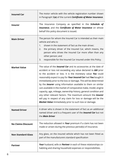| <b>Insured Car</b>        | The motor vehicle with the vehicle registration number shown<br>in Paragraph 5(a) of the current <b>Certificate of Motor Insurance</b> .                                                                                                                                                                                                                                                                                                                                                                                                                                                                                                                                                                                                                               |
|---------------------------|------------------------------------------------------------------------------------------------------------------------------------------------------------------------------------------------------------------------------------------------------------------------------------------------------------------------------------------------------------------------------------------------------------------------------------------------------------------------------------------------------------------------------------------------------------------------------------------------------------------------------------------------------------------------------------------------------------------------------------------------------------------------|
| <b>Insurer</b>            | The Insurance Company as specified in the <b>Schedule of</b><br>Insurance, and the Certificate of Motor Insurance on whose<br>behalf this policy document is issued.                                                                                                                                                                                                                                                                                                                                                                                                                                                                                                                                                                                                   |
| <b>Main Driver</b>        | The person for whom the Insured Car is intended as their main<br>vehicle and who is:<br>shown in the statement of fact as the main driver;<br>1.<br>2.<br>the primary driver of the Insured Car, which means, the<br>person who drives the Insured Car more often than any<br>other person; and<br>3.<br>responsible for the Insured Car insured under this Policy.                                                                                                                                                                                                                                                                                                                                                                                                    |
| <b>Market Value</b>       | The value of the <i>Insured Car</i> and its accessories at the date of<br>accident or loss not exceeding any value declared to AAI prior<br>to the accident or loss. It is the monetary value You could<br>reasonably expect to pay for Your Insured Car had You bought it<br>immediately prior to the loss or damage. This will be determined<br>by the <i>Insurer</i> using information available to them on similar<br>cars available in the market of comparative make, model, engine<br>capacity, age, mileage, ownership history, general condition and<br>any other relevant factors. The maximum amount the <i>Insurer</i><br>will pay in respect of any claim for loss or damage will be the<br><b>Market Value</b> immediately prior to such loss or damage. |
| <b>Named Driver</b>       | A driver who is shown in the statement of fact as an additional<br>named driver and is a frequent user of the <b>Insured Car</b> but not<br>the <b>Main Driver</b>                                                                                                                                                                                                                                                                                                                                                                                                                                                                                                                                                                                                     |
| <b>No Claims Discount</b> | The reduction allowed in Your premium if a claim has not been<br>made or arisen during the previous period(s) of insurance.                                                                                                                                                                                                                                                                                                                                                                                                                                                                                                                                                                                                                                            |
| <b>Non Standard Glass</b> | Any glass, on the insured vehicle which has not been fitted as<br>part of the manufacturers standard specification                                                                                                                                                                                                                                                                                                                                                                                                                                                                                                                                                                                                                                                     |
| Partner                   | <b>Your</b> husband, wife or <b>Partner</b> in each of these relationships co-<br>habiting and sharing household expenses or responsibilities.                                                                                                                                                                                                                                                                                                                                                                                                                                                                                                                                                                                                                         |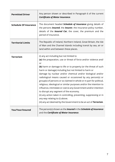| <b>Permitted Driver</b>      | Any person shown or described in Paragraph 6 of the current<br><b>Certificate of Motor Insurance.</b>                                                                                                                                                                                                                                                                                                                                                                                                                                                                                                                                                                                                                                                                                                                |
|------------------------------|----------------------------------------------------------------------------------------------------------------------------------------------------------------------------------------------------------------------------------------------------------------------------------------------------------------------------------------------------------------------------------------------------------------------------------------------------------------------------------------------------------------------------------------------------------------------------------------------------------------------------------------------------------------------------------------------------------------------------------------------------------------------------------------------------------------------|
| <b>Schedule Of Insurance</b> | The document headed <b>Schedule of Insurance</b> giving details of<br>the persons <i>Insured</i> , the <i>Insurer</i> , the insurance policy number,<br>details of the <b>Insured Car</b> , the cover, the premium and the<br>period of insurance.                                                                                                                                                                                                                                                                                                                                                                                                                                                                                                                                                                   |
| <b>Territorial Limits</b>    | The Republic of Ireland, Northern Ireland, Great Britain, the Isle<br>of Man and the Channel Islands including transit by sea, air or<br>land within and between these places.                                                                                                                                                                                                                                                                                                                                                                                                                                                                                                                                                                                                                                       |
| <b>Terrorism</b>             | (i) any act including but not limited to<br>(a) the preparation, use or threat of force and/or violence and/<br>or<br>(b) harm or damage to life or to property (or the threat of such<br>harm or damage) including but not limited to harm or<br>damage by nuclear and/or chemical and/or biological and/or<br>radiological means caused or occasioned by any person(s) or<br>group(s) of persons or so claimed in whole or in part for political,<br>religious, ideological or similar purposes and/or the intention to<br>influence, intimidate or coerce any Government and/or intention<br>to disrupt any segment of the economy.<br>(ii) any action taken in controlling, preventing, suppressing or in<br>any way relating to (i) above.<br>(iii) any act deemed by the Government to be an act of Terrorism. |
| You/Your/Insured             | The person(s) shown as the <b>Insured</b> in the <b>Schedule of Insurance</b><br>and the <b>Certificate of Motor Insurance</b> .                                                                                                                                                                                                                                                                                                                                                                                                                                                                                                                                                                                                                                                                                     |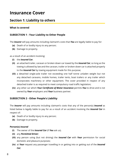# **Insurance Cover**

# **Section 1: Liability to others**

#### **What is covered**

## **SUBSECTION 1 - Your Liability to Other People**

The *Insurer* will pay amounts including claimant's costs that *You* are legally liable to pay for:

- **(a)** Death of or bodily injury to any person;
- **(b)** Damage to property.

as a result of an accident involving:

- **(i)** the *Insured Car*;
- **(ii)** an attached trailer, caravan or broken down car towed by the *Insured Car*, so long as the towing is allowed by law and the caravan, trailer or broken down car is attached properly to the *Insured Car* by towing equipment made for this purpose;
- **(iii)** a detached single-axle trailer not exceeding one half tonne unladen weight but not any detached caravans, mobile homes, trailer tents, boat trailers or any trailer which incorporates machinery or other equipment. The cover provided in respect of any detached trailer is as required to meet compulsory road traffic legislation;
- **(iv)** any other car which *Your Certificate of Motor Insurance* permits *You* to drive and is not owned by *Your* employers and *Your* business partner.

## **SUBSECTION 2 - Other People's Liability**

The *Insurer* will pay amounts including claimant's costs that any of the person(s) *Insured* as listed below is legally liable to pay for as a result of an accident involving the *Insured Car* in respect of:

- **(a)** Death of or bodily injury to any person;
- **(b)** Damage to property.

#### **Person(s)** *Insured*

- **(i)** The owner of the *Insured Car* (if *You* ask us).
- **(ii)** any *Permitted Driver*;
- **(iii)** any person using (but not driving) the *Insured Car* with *Your* permission for social domestic and pleasure purposes;
- **(iv)** at *Your* request any passenger travelling in or getting into or getting out of the *Insured Car*;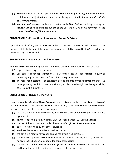- **(v)** *Your* employer or business partner while *You* are driving or using the *Insured Car* on their business subject to the use and driving being permitted by the current *Certificate of Motor Insurance*;
- **(vi)** *Your Partner's* employer or business partner while *Your Partner* is driving or using the *Insured Car* on their business subject to the use and driving being permitted by the current *Certificate of Motor Insurance*.

## **SUBSECTION 3 - Protection of an** *Insured* **Person's Estate**

Upon the death of any person *Insured* under this Section the *Insurer* will transfer to that person's estate the benefit of this insurance against any liability covered by this Section that the deceased may have incurred.

#### **SUBSECTION 4 - Legal Costs and Expenses**

When the *Insurer's* written agreement is obtained beforehand the following will be paid:

- **(a)** Legal costs and expenses incurred;
- **(b)** Solicitor's fees for representation at a Coroner's Inquest Fatal Accident Inquiry or defending any prosecution in a Court of Summary Jurisdiction;
- **(c)** The reasonable costs for legal services to defend a charge of manslaughter or dangerous driving causing death in connection with any accident which might involve legal liability covered by this insurance.

## **SUBSECTION 5 - Driving Other Cars**

If *Your* current *Certificate of Motor Insurance* permits *You*, we will also cover *You*, the *Insured*, for *Your* liability to other people while *You* are driving any other private motor car which *You* do not own or have not hired or leased as long as

- **(a)** the car is not owned by *Your* employer or hired to them under a hire-purchase or lease agreement;
- **(b)** *You* currently hold a valid, full Irish, UK or European Union (EU) Driving Licence;
- **(c)** the use of the car is covered under the current *Certificate of Motor Insurance*;
- **(d)** cover is not provided by any other insurance;
- **(e)** *You* have the owner's permission to drive the car;
- **(f)** the car is in a roadworthy condition and has a valid NCT certificate;
- **(g)** the vehicle is a private passenger vehicle and is not a van, car-van, motorcycle, jeep with no seats in the back or van adapted to carry passengers;
- **(h)** the vehicle stated on *Your* current *Certificate of Motor Insurance* is still owned by *You*  and has not been stolen or damaged beyond cost-effective repair;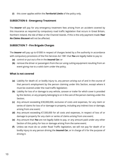**(i)** this cover applies within the *Territorial Limits* of the policy only.

## **SUBSECTION 6 - Emergency Treatment**

The *Insurer* will pay for any emergency treatment fees arising from an accident covered by this insurance as required by compulsory road traffic legislation that occurs in Great Britain, Northern Ireland, the Isle of Man or the Channel Islands. If this is the only payment made *Your No Claims Discount* will not be affected.

## **SUBSECTION 7 - Fire Brigade Charges**

The *Insurer* will pay up to €1000 in respect of charges levied by a fire authority in accordance with compulsory provisions of the Fire Services Act 1981 that *You* are legally liable to pay to:

- **(a)** control or put out a fire in the *Insured Car*; or
- **(b)** remove the driver or passengers from the car using cutting equipment resulting from an event giving rise to a valid claim under the policy.

#### **What is not covered**

- **(a)** Liability for death of, or bodily injury to, any person arising out of and in the course of that person's employment by the person claiming under this Section, except where it must be covered under the road traffic legislation;
- **(b)** Liability for loss of or damage to any vehicle, caravan or trailer for which cover is provided by this Section, or any property belonging to or in the care of the person claiming under this Section;
- **(c)** Any amount exceeding €30,000,000, exclusive of costs and expenses, for any claim or series of claims for loss of or damage to property, including any indirect loss or damage, arising from one event;
- **(d)** Any amount exceeding €7,500,000 for all costs and expenses, in respect of loss of or damage to property for any claim or series of claims arising from one event;
- **(e)** Any amount that *You* are not legally liable to pay, or any amount paid under any other Section of this policy for loss or damage arising from the same event;
- **(f)** Unless we must do so under Road Traffic legislation, we will not pay for death of or bodily injury to any person driving the *Insured Car*, or in charge of it for the purpose of driving it.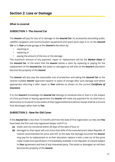#### **What is covered**

### **SUBSECTION 1- The** *Insured* **Car**

The *Insurer* will pay for loss of or damage to the *Insured Car*, its accessories (excluding audio, satellite navigation and communication equipment) and spare parts kept in or on the *Insured Car* or in *Your* private garage at the *Insurer's* discretion by:

- repairing or
- replacing or
- paying the amount of the loss or the damage.

The maximum amount of any payment, repair or replacement will be the *Market Value* of the *Insured Car*. In the event that the *Insurer* settles a claim by replacing or paying for the replacement of the *Insured Car*, the stolen or damaged car will then at the *Insurer's* discretion become the property of the *Insurer*.

The *Insurer* will also pay the reasonable cost of protection and taking the *Insured Car* to the nearest suitable *Insurer* approved repairer or place of storage after such damage and where appropriate returning it after repair to *Your* address as shown on the current *Certificate of Insurance*.

If to the *Insurer's* knowledge the *Insured Car* belongs to someone else or that it is the subject of a hire purchase or leasing agreement the *Insurer* will make any payment for its total loss or destruction to its owner to the extent of their legal entitlement (whose receipt shall be a full and final discharge) rather than to *You.*

## **SUBSECTION 2 - New for Old Cover**

If the *Insured Car* is less than 13 months old from the date of first registration as new and *You*  have been the first and only registered keeper and if it is:

- **(a)** stolen and not recovered within 28 days of the date of loss; or
- **(b)** damaged so that repair will cost more than 60% of the manufacturers latest Republic of Ireland recommended list price and VAT at the date the damage occurred the *Insurer* may pay for its replacement or at their discretion replace it with a new car of the same make model and specification if immediately available in the Republic of Ireland subject to *Your* agreement and that of any interested party. The stolen or damaged car will then become the property of the *Insurer*.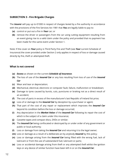## **SUBSECTION 3 - Fire Brigade Charges**

The *Insurer* will pay up to €1000 in respect of charges levied by a fire authority in accordance with the provisions of the Fire Services Act 1981 that *You* are legally liable to pay to:

- **(a)** control or put out a fire in *Your* car; or
- **(b)** remove the driver or passengers from the car using cutting equipment resulting from an event giving rise to a valid claim under the policy and provided that no payment has been made for this same event under Section 1.

Note: If the cover on *Your* policy is Third Party Fire and Theft (see *Your* current Schedule of Insurance) the cover provided under Section 2 only applies in respect of loss or damage caused directly by fire, theft or attempted theft.

#### **What is not covered**

- **(a)** *Excess* as shown on the current *Schedule of Insurance*;
- **(b)** The loss of use of the *Insured Car* or any loss resulting from loss of use of the *Insured Car*
- **(c)** Wear and tear or depreciation;
- **(d)** Mechanical, electrical, electronic or computer fault, failure, malfunction or breakdown;
- **(e)** Damage to tyres caused by bursts, cuts, punctures or braking not as a direct result of an accident;
- **(f)** The cost of parts in excess of the manufacturer's last Republic of Ireland list price;
- **(g)** Loss of or damage to the *Insured Car* by deception by a purchaser or agent;
- **(h)** That part of the cost of any repair or replacement which improves the *Insured Car* beyond its condition before the loss or damage occurred;
- **(i)** Any depreciation in the *Market Value* of the *Insured Car* following its repair the cost of which is the subject of a claim under this insurance;
- **(j)** Cassette tapes and compact discs, DVDs or similar;
- **(k)** The *Insured Car* being confiscated or destroyed by or under order of any government or public or local authority;
- **(l)** Loss or damage from taking the *Insured Car* and returning it to the legal owner;
- **(m)** Loss or damage as a result of a deliberate act by anybody *Insured* by this policy;
- **(n)** Loss or damage arising from the *Insured Car* being filled with the wrong fuel, lack of lubricant or from the use of substandard fuel, lubricant or parts;
- **(o)** Loss or accidental damage arising from theft or any attempted theft whilst the ignition keys or any device of similar function have been left in or on the *Insured Car*;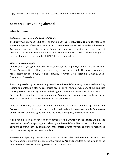**(p)** The cost of importing parts or accessories from outside the European Union or UK.

# **Section 3: Travelling abroad**

#### **What is covered**

#### *Full Policy cover outside the Territorial Limits*

The *Insurer* will provide the full cover as shown on the current *Schedule of Insurance* for up to a maximum period of 60 days to enable *You* or a *Permitted Driver* to drive and use the *Insured*  **Car** in any country which the European Commission approves as meeting the requirements of Article 8 (1) of the European Community Directive on Insurance of Civil Liabilities arising from the use of motor vehicles (number 209/103/EC) or as amended.

#### **Where this cover applies**

Andorra, Austria, Belgium, Bulgaria, Croatia, Cyprus, Czech Republic, Denmark, Estonia, Finland, France, Germany, Greece, Hungary, Iceland, Italy, Latvia, Liechtenstein, Lithuania, Luxembourg, Malta, Netherlands, Norway, Poland, Portugal, Romania, Slovak Republic, Slovenia, Spain, Sweden and Switzerland.

The cover provided by this section applies while the *Insured Car* is being transported (including loading and unloading) along a recognised sea, air or rail route between any of the countries shown provided the journey does not take longer than 65 hours under normal conditions. Cover in these countries is conditional upon *Your* main permanent residence being in the Republic of Ireland and the visit being only a temporary one.

Visits to any country not listed above must be notified in advance and if acceptable to *Your Insurer* a green card will be issued at a premium to be advised. If *You* do not notify *Your Insurer* or *Your Insurer* does not agree to extend the limits of the policy, no cover will apply.

If *You* make a valid claim for loss of or damage to the *Insured Car* the *Insurer* will pay the reasonable cost of transporting and delivering the *Insured Car* to *Your* address in the Republic of Ireland as shown in the current *Certificate of Motor Insurance* by sea and/or by a recognised land route when repair has been completed.

The *Insurer* will pay any customs duty for which *You* are liable on the *Insured Car* after it has been temporarily imported into any country visited by *You* and permitted by the *Insurer*, as the direct result of any loss or damage covered by this insurance.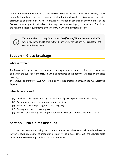Use of the *Insured Car* outside the *Territorial Limits* for periods in excess of 60 days must be notified in advance and cover may be provided at the discretion of *Your Insurer* and at a premium to be advised. If *You* fail to provide notification in advance of any trip and / or the *Insurer* does not agree to extend cover the only cover which will apply to the *Insured Car* will be the minimum legal requirements of the country in which the incident occurs.



*You* are advised to bring *Your* current *Certificate of Motor Insurance* with *You*  when *You* travel and to ensure that all drivers have valid driving licences for the countries being visited.

# **Section 4: Glass Breakage**

#### **What is covered**

The *Insurer* will pay the cost of replacing or repairing broken or damaged windscreens, windows or glass in the sunroof of the *Insured Car*, and scratches to the bodywork caused by the glass breaking.

The amount is limited to €225 where the claim is not processed through the *AAI* Approved Repairer.

#### **What is not covered**

- **(a)** Any loss or damage caused by the breakage of glass in panoramic windscreens;
- **(b)** Any damage caused by wear and tear or negligence;
- **(c)** The extra cost of replacing non standard glass;
- **(d)** Damaged or broken mirror glass;
- **(e)** The cost of importing glass or parts for the *Insured Car* from outside the EU or UK.

# **Section 5: No claims discount**

If no claim has been made during the current insurance year, the *Insurer* will include a discount in *Your* renewal premium. The amount of discount will be in accordance with the *Insurer's* scale of *No Claims Discount* applicable at the time of renewal.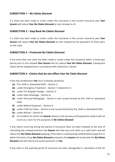### **SUBSECTION 1 –** *No Claims Discount*

If a claim has been made or arisen under this insurance in the current insurance year *Your Insurer* will reduce *Your No Claims Discount* at next renewal to nil.

#### **SUBSECTION 2 – Step Back** *No Claims Discount*

If a claim has been made or arisen under this insurance in the current insurance year *Your Insurer* will reduce *Your No Claims Discount* at next renewal by the equivalent of three years on the scale.

#### **SUBSECTION 3 – Protected** *No Claims Discount*

If not more than one claim has been made or arisen under this insurance within a three year period prior to the renewal *Your Insurer* will not reduce *Your No Claims Discount*. Subsequent claims will be stepped back in accordance with Subsection 2 above.

#### **SUBSECTION 4 - Claims that do not affect** *Your No Claim Discount*

If the only incident/loss *You* incur is directly caused by:

- **(a)** Fire, theft or attempted theft Section 2;
- **(b)** under Emergency Treatment Section 1 Subsection 6;
- **(c)** under Fire Brigade Charges Section 2;
- **(d)** under Glass Breakage Section 4;
- **(e)** under Personal Belongings Section 6 and caused directly by fire, theft or attempted theft;
- **(f)** under Medical Expenses Section 6;
- **(g)** under Child Car Seats Section 6 and caused directly by fire, theft or attempted theft;
- **(h)** under Misfuel Section 6;
- **(i)** for incidents for which the *Insurer* obtains a full recovery of all payments made it will not count as a claim for the purposes of *No Claims Discount*.

If any claims occurring during the period of insurance have not been finalised at the time of calculating the renewal premium the *Insurer* will treat any such claim as a valid claim and will reduce the *No Claims Discount* applying. If the claim is subsequently settled without payment or within the limits of any *No Claims Discount* protection the *Insurer* will recalculate the *No Claims Discount* and will refund any excess premium to *You.*

If any claim in the expiring period of insurance has been disregarded in calculation of the No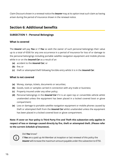Claim Discount shown in a renewal notice the *Insurer* may at its option treat such claim as having arisen during the period of insurance shown in the renewal notice.

# **Section 6: Additional benefits**

## **SUBSECTION 1 - Personal Belongings**

### **What is covered**

The *Insurer* will pay *You* or if *You* so wish the owner of such personal belongings their value up to a total of €500 for any one occurrence in a period of insurance for loss of or damage to the personal belongings including portable satellite navigation equipment and mobile phones while in or on the *Insured Car* as a result of an

- **(a)** accident to the *Insured Car*; or
- **(b)** fire; or
- **(c)** theft or attempted theft following forcible entry whilst it is in the *Insured Car*.

#### **What is not covered**

- **(a)** Money, stamps, tickets, documents or securities;
- **(b)** Goods, tools or samples carried in connection with any trade or business;
- **(c)** Property insured under any other policy;
- **(d)** Personal belongings in the *Insured Car* if it is an open top or convertible vehicle whilst unattended unless the equipment has been placed in a locked covered boot or glove compartment;
- **(e)** Loss or damage to portable satellite navigation equipment or mobile phones caused by theft or attempted theft from the *Insured Car* whilst unattended unless the equipment has been placed in a locked covered boot or glove compartment.

**Note: If cover on** *Your* **policy is Third Party Fire and Theft this subsection only applies in respect of loss or damage caused directly by fire, theft or attempted theft. (Please refer to the current** *Schedule of Insurance***).**



#### Did *You* know?

If *You* are a paid up AA Member at inception or last renewal of this policy the *Insurer* will increase the maximum amount payable under this subsection to €750.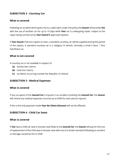## **SUBSECTION 2 - Courtesy Car**

#### **What is covered**

Following an accident which gives rise to a valid claim under this policy the *Insurer* will provide *You*  with the use of another car for up to 10 days while *Your* car is undergoing repair, subject to the repair being carried out by *Your Insurer's* approved repairer.

If *Your Insurer* instructs repairs to start, a standard courtesy car will be supplied during the period of the repairs. A standard courtesy car is a category 'A' vehicle, normally a small 3 door, 1 litre hatchback car.

#### **What is not covered**

A courtesy car is not available in respect of:

- **(a)** windscreen claims;
- **(b)** total loss claims;
- **(c)** accidents occurring outside the Republic of Ireland.

#### **SUBSECTION 3 - Medical Expenses**

#### **What is covered**

If any occupant of the *Insured Car* is injured in an accident involving the *Insured Car*, the *Insurer* will refund any medical expenses incurred up to €300 for each person injured.

If this is the only payment made *Your No Claims Discount* will not be affected.

#### **SUBSECTION 4 - Child Car Seats**

#### **What is covered**

If *You* have a child car seat or booster seat fitted to the *Insured Car*, the *Insurer* will pay for the cost of replacement of the child seat or booster seat with one of a similar standard following an accident or damage caused by fire or theft.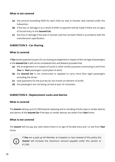## **What is not covered**

- **(a)** Any amount exceeding €500 for each child car seat or booster seat claimed under this Subsection;
- **(b)** If the loss or damage is as a result of theft no payment will be made if there are no signs of forced entry to the *Insured Car*;
- **(c)** Any loss or damage if the seat or booster seat has not been fitted in accordance with the manufacturers specification.

## **SUBSECTION 5 - Car Sharing**

#### **What is covered**

If *You* receive payment as part of a car sharing arrangement in respect of the carriage of passengers in the *Insured Car* it will not be considered Hire and Reward provided that

- **(a)** the arrangement is in respect of social or other similar purposes commuting to and from *Your* or *Your* passengers usual place of work;
- **(b)** the *Insured Car* is not constructed or adapted to carry more than eight passengers excluding the driver;
- **(c)** total payments for the journey do not involve an element of profit;
- **(d)** the passengers are not being carried as part of a business.

#### **SUBSECTION 6 - Replacement Locks and Alarms**

#### **What is covered**

The *Insurer* will pay up to €1,000 towards replacing and or recoding of locks, keys or similar devices and alarms of the *Insured Car* if the keys or similar devices are stolen from *Your* home.

#### **What is not covered**

The *Insurer* will not pay any claim where there is no sign of forcible entry and / or exit from *Your* home.



If *You* are a paid up AA Member at inception or last renewal of this policy the **Insurer** will increase the maximum amount payable under this section to €1,500.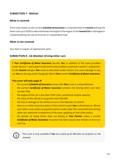## **SUBSECTION 7 - Misfuel**

#### **What is covered**

If the cover shown on the current *Schedule of Insurance* is comprehensive the *Insurer* will pay the direct cost up to €500 to decontaminate the engine if the engine of the *Insured Car* is damaged or contaminated by the use of incorrect or substandard fuels.

#### **What is not covered**

Any claim in respect of replacement parts.

#### **SUBSECTION 8 - AA Member driving other cars**

If *Your Certificate of Motor Insurance* permits *You*, in addition to the cover provided under Section 1, and subject to the terms and conditions outlined in section 1 (subsection 5), the *Insurer* will give *You* cover as described under Section 2 to cover damage to any car *You* are driving under Paragraph 5(b) of *Your* current *Certificate of Motor Insurance*.

#### **This cover will only apply if:**

- the current *Schedule of Insurance* shows that *Your* cover is comprehensive;
- the current *Certificate of Motor Insurance* contains the 'driving other cars' item number 5(b);
- the engine of the car is less than 2500 cubic centimetres engine capacity;
- the value of the vehicle is no greater than €50,000;
- the loss or damage to the vehicle occurs in the Republic of Ireland;
- there is no other insurance policy in force which covers *You* to drive that car. Where such other cover exists no payment will be made under this comprehensive driving other cars extension irrespective of the cover applying on that other policy;
- the private car being driven does not belong to *Your Partner* unless a current *Certificate of Motor Insurance* Insurance has been issued and remains in force on such car.



This cover is only available if *You* are a paid up AA Member at inception or last renewal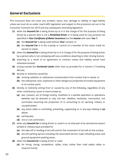# **General Exclusions**

This insurance does not cover any accident, injury, loss, damage or liability or legal liability unless we must do so under road traffic legislation and subject to the provisions set out in the Consumer Contracts Act 2019 and any subsequent amending legislation:

- **(1)** when the *Insured Car* is being driven by or is in the charge of for the purpose of being driven by a person who is not a *Permitted Driver* or is being used for any purpose not specified in *Your Certificate of Motor Insurance* but the *Insurer* will cover *You* if:
	- **(a)** the *Insured Car* is being used without *Your* consent; or
	- **(b)** the *Insured Car* is in the custody or control of a member of the motor trade for service or repair.
- **(2)** when the *Insured Car* is being driven by or is in charge of for the purpose of being driven by a person who is not complying with any conditions attaching to their driving licence;
- **(3)** attaching as a result of an agreement or contract unless that liability would have otherwise existed;
- **(4)** arising outside the *Territorial Limits* other than as provided for in Section 3 Travelling Abroad.
- **(5)** directly or indirectly caused by
	- **(a)** ionising radiation or radioactive contamination from nuclear fuel or waste; or
	- **(b)** the radioactive, toxic, explosive or other dangerous properties of nuclear equipment or its nuclear parts.
- **(6)** directly or indirectly arising from or caused by any of the following, regardless of any other contributory cause or event except as:
	- **(a)** war, invasion, act of foreign enemy, hostilities or a warlike operation or operations (whether war be declared or not), civil war, rebellion, revolution, insurrection, civil commotion assuming the proportion of or amounting to an uprising, military or usurped power;
	- **(b)** any action taken in controlling, preventing, suppressing or in any way relating to **(a)** above;
	- **(c)** earthquake;
	- **(d)** riot or civil commotion.
- **(7)** when any *Insured Car* is being driven or used in or on that part of an aerodrome airport airfield or military base provided for
	- **(a)** the take-off or landing of aircraft and for the movement of aircraft on the surface;
	- **(b)** aircraft parking aprons including the associated service roads refuelling areas and ground equipment parking areas.
- **(8)** when the *Insured Car* is being driven or used
	- **(a)** for hiring, racing, competition, rallies, trials, (other than road safety rallies or treasure hunts);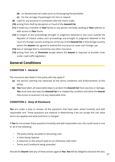- **(b)** on derestricted toll roads (such as Nurburgring Nordschleife);
- **(c)** for the carriage of passengers for hire or reward.
- **(9)** used for any purpose in connection with the motor trade.
- **(10)** arising from theft by deception or fraud of the *Insured Car*.
- **(11)** if stolen by a member of *Your* family or any person normally residing at *Your* address or with access to *Your* home.
- **(12)** in respect of any proceedings brought or judgment obtained in any court outside the Republic of Ireland unless such proceedings are brought or judgment obtained in the court of a foreign country arising out of the use of the *Insured Car* in that foreign country where the *Insurer* has agreed to extend this insurance to cover such foreign use.
- **(13)** loss or damage that is covered by any other insurance.
- **(14)** arising from acts of *Terrorism* except where the *Insurer* is required to provide cover under road traffic legislation.

# **General Conditions**

## **CONDITION 1 - General**

The insurance described in this policy will only apply if

- **(a)** the person claiming has observed all the terms conditions and Endorsements of this policy;
- **(b)** *You* have taken all reasonable steps to protect the *Insured Car* from any loss or damage. *You* must have also kept the *Insured Car* in a roadworthy condition and allow the *Insurer* free access to examine it at any reasonable time.

## **CONDITION 2 - Duty of Disclosure**

*You* are under a duty to answer all the questions that have been asked honestly and with reasonable care. These questions are material in determining if we can accept this risk, what terms are applied and what premium is charged.

If *You* do not answer these questions honestly and with reasonable care, this could result in one or all of the following:

- The policy being cancelled or becoming void
- A claim being rejected
- A reduction in the amount paid on an otherwise valid claim
- Terms and Conditions being amended

Should the *Insurer* take any of these actions against *You*, *You* will be obliged to disclose this fact,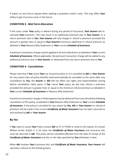if asked, on any future request when seeking a quotation and/or cover. This may affect *Your* ability to get insurance cover in the future.

## **CONDITION 3 - Mid-Term Alteration**

If the cover under *Your* policy is altered during any period of Insurance, *Your Insurer* will recalculate *Your* premium. This may result in an additional premium due to *Your Insurer*, or a return premium due to *You. Your Insurer* will only charge or refund a premium provided the amount is greater than or equal to *Your Insurer's* minimum additional or refund premium as detailed in *Your* Reasons Why Statement or *Your* current *Schedule of Insurance*.

A premium transaction charge may be applied to all such alterations, as detailed in *Your* current *Schedule of Insurance*. Where applicable, the premium transaction charge will be added to any additional premium due to *Your Insurer*, or deducted from any return premium due to *You.*

# **CONDITION 4 - Cancellation**

Please note that if *You* cancel *Your* car insurance policy or it is cancelled by *AAI* or *Your Insurer* for any reason then all policy benefits shall automatically be cancelled on the same date. Any cancellation by *You*, the *Insurer* or *AAI* will not affect any rights and responsibilities arising before cancellation takes place. If *You* cancel *Your* policy we will only refund a premium provided the amount is greater than or equal to the minimum refund premium as detailed in *Your* current *Schedule of Insurance* or Reasons Why Statement.

A premium transaction charge or fixed expense may be deducted from any refund due following cancellation of this policy, as detailed in *Your* Reasons Why Statement or *Your* current *Schedule of Insurance*. If the policy is cancelled for any reason by *You*, *AAI* or *Your Insurer* no refund of premium will be made if the current *Certificate of Motor Insurance* has not been returned to and received by *AAI* or *Your Insurer*.

## **By** *You*

If *You* need to cancel *Your* Policy contact *AAI* on 01 6179950 or write to AA Ireland, 61a South William Street, Dublin 2. In all cases the *Certificate of Motor Insurance* and insurance disc must be returned to *AAI*. The policy will be cancelled effective from the date of receipt of the *Certificate of Motor Insurance* and disc or the date specified by *You* whichever is later.

When *AAI* receives *Your* insurance disc and *Certificate of Motor Insurance*, *Your Insurer* will calculate a refund on the following basis.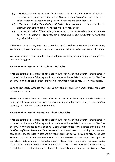- **(a)** If *You* have had continuous cover for more than 12 months, *Your Insurer* will calculate the amount of premium for the period *You* have been *Insured* and will refund any balance after any transaction charge or fixed expense has been deducted;
- **(b)** If *You* cancel during *Your Cooling off Period*, *Your Insurer* will refund *You* the full premium providing no claims have been made on *Your* policy;
- **(c)** If *You* cancel outside of *Your* cooling off period and if *You* have made a claim or there has been an incident that is likely to result in a claim being made, *Your Insurer* may withhold any refund due to *You*.

If *You* have chosen to pay *Your* annual premium by AA instalments *You* must continue to pay *Your* monthly Direct Debit. Any return of premium due will be based on a pro rata calculation.

*Your Insurer* reserves the right to request full payment of any outstanding premium prior to any claim being paid.

## **By AA or** *Your Insurer* **- AA Instalment Defaults**

If *You* are paying by instalments *You* irrevocably authorise *AAI* or *Your Insurer* at their discretion to cancel this insurance following and in accordance with any default notice sent to *You*. The policy will only be cancelled after sending 10 days written notice to *Your* last known address.

*You* also irrevocably authorise *AAI* to receive any refund of premium from the *Insurer* and pass this refund on to *You*.

Please note where a claim has arisen under this insurance and the policy is cancelled under this paragraph, the *Insurer* may not provide any refund as a result of cancellation, if this occurs *You* must pay the total loan amount owed to *AAI*.

## **By AA or** *Your Insurer* **-** *Insurer* **Instalment Defaults**

If *You* are paying by instalments *You* irrevocably authorise *AAI* or *Your Insurer* at their discretion to cancel this insurance following and in accordance with any default notice sent to *You*. The policy will only be canceled after sending 10 days written notice to the address shown on *Your Certificate of Motor Insurance*. *Your Insurer* will calculate the cost of providing the cover and service up to the cancellation date and any return premium due will be paid to *You*. Please note *You* must pay the sum *You* owe *Your Insurer* in full for the cover and service provided up to the cancellation date as shown in the default notice. Please note, where a claim has arisen under this insurance and the policy is canceled under this paragraph, *Your Insurer* may withhold any refund due as a result of the cancellation, if this occurs *You* must pay the sum *You* owe *Your*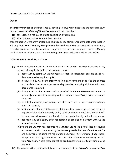*Insurer* contained in the default notice in full.

#### **Other**

The *Insurer* may cancel this insurance by sending 10 days written notice to the address shown on the current *Certificate of Motor Insurance* and provided that:

- **(a)** cancellation is not due to a false declaration or fraud; and
- **(b)** all instalment payments are fully up to date;

then the portion of the premium for the unexpired period of insurance at the date of cancellation will be paid to *You*. If *You* pay *Your* premium by instalments *You* authorise *AAI* to receive any refund of premium from the *Insurer* and apply it to pay or reduce any sums owed to *AAI*. Any residual balance of return premium remaining after these deductions will be paid to *You.*

#### **CONDITION 5 - Making a Claim**

- **(a)** When an accident injury loss or damage occurs *You* or *Your* legal representative or any person claiming the benefit of this insurance must:
	- **(i)** notify *AAI* by calling AA Claims Assist as soon as reasonably possible giving full details as may be required by *AAI*;
	- **(ii)** if requested by *AAI* or the *Insurer*, fill in a claim form and send it to the address on the claim form as soon as reasonably possible, enclosing all information and documents requested;
	- **(iii)** if requested by the *Insurer* confirm proof of *No Claims Discount* entitlement if previously unproven by producing written evidence from *Your* previous insurance company;
	- **(iv)** send to the *Insurer*, unanswered, any letter claim writ or summons immediately after it is received;
	- **(v)** tell the *Insurer* immediately after receipt of notification of a prosecution coroner's inquest or fatal accident enquiry or any other proceedings whether criminal or civil in connection with any accident for which there may be liability under this insurance;
	- **(vi)** not make any admission, offer, repudiation or promise of payment without the *Insurer's* written consent;
	- **(vii)** where the *Insurer* has declared the *Insured Car* to be a total loss or beyond economical repair, if requested by the *Insurer*, provide the keys of the *Insured Car* and documents including the registration document, NCT certificate (if applicable), receipt and servicing documents and any other documents necessary to deal with *Your* claim. Where these cannot be produced the value of *Your* claim may be reduced.
- **(b)** The *Insurer* will be entitled to take over and conduct at the *Insurer's* expense in *Your*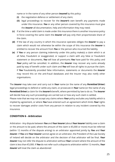name or in the name of any other person *Insured* by this policy:

- **(i)** the negotiation defence or settlement of any claim;
- **(ii)** legal proceedings to recover for the *Insurer's* own benefit any payments made under this insurance. *You* or any other person covered by this insurance must give the *Insurer* all documentation, help and information they may need;
- **(c)** If at the time a valid claim is made under this insurance there is another insurance policy in force covering the same claim the *Insurer* will pay only their proportionate share of the claim.
- **(d)** If the law of any country in which this insurance operates obliges the *Insurer* to pay a claim which would not otherwise be within the scope of this insurance the *Insurer* is entitled to recover the amount from *You* or the person who incurred the liability.
- **(e)** If *You* or any person claiming indemnity under this policy make(s) a claim which is at all false, fraudulent or exaggerated, or support a claim with any false or fraudulent statement or documents, *You* will lose all premiums *You* have paid for this policy and *Your* policy will be cancelled. In addition, the *Insurer* may recover any sums already paid by way of benefit under such claim and *You* will lose all rights to pursue the claim. If *You* fraudulently provided false information, statements or documents the *Insurer* may record this on the anti-fraud databases and the Insurer may also notify other organisations.

The *Insurer* may take over and carry out in *Your* name (or the name of any *Permitted Driver*) legal proceedings to defend or settle any claim, or prosecute in *Your* name (or the name of any *Permitted Driver*) a claim for the *Insurer's* benefit, where permitted by law to do so. The *Insurer* will decide how any such proceedings are carried out or how any such claim is settled. Please note that we may not accept any claims where *Your* policy excludes any liability which is implied by agreement, or where *You* have entered such an agreement which limits *Your* rights to recover damages and/or costs from any person in relation to any incident covered by this insurance.

## **CONDITION 6 - Arbitration**

Arbitration - Any dispute between *You* and *Your Insurer* (about *Your Insurer* liability over a claim or the amount to be paid, where the amount of the claim is €5,000 or more) must be referred (within 12 months of the dispute arising) to an arbitrator appointed jointly by *You* and *Your Insurer*. If *You* and *Your Insurer* cannot agree on an arbitrator, the President of the Law Society of Ireland will decide on the arbitrator and the decision of that arbitrator will be final. *Your Insurer* may not refer the dispute to arbitration without *Your* consent where the amount of the claim is less than €5,000. If *You* do not refer such a dispute to arbitration within 12 months, *Your Insurer* will treat the claim as abandoned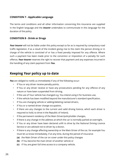## **CONDITION 7 - Applicable Language**

The terms and conditions and all other information concerning this insurance are supplied in the English language and the *Insurer* undertakes to communicate in this language for the duration of the policy.

#### **CONDITION 8 - Drink or Drugs**

*Your Insurer* will not be liable under this policy except so far as is required by compulsory road traffic legislation, if as a result of the incident giving rise to the claim the person driving or in charge of the vehicle is convicted of or has a fixed penalty imposed for any offence. Where such a payment has been made prior to the conviction or imposition of a penalty for such offence, *Your Insurer* reserves the right to recover that payment and any expenses incurred in the handling of any claim payment from *You.*

# **Keeping** *Your* **policy up to date**

*You* are obliged to notify us immediately if any of the following occur:

- If You or any driver receive penalty points,
- If You or any driver receive or have any prosecutions pending for any offence of any nature or have been suspended from driving,
- If the use of Your vehicle has changed e.g. You intend using it for business use,
- If the vehicle has been modified beyond the manufacturer's standard specification,
- If You are changing vehicle or adding/deleting named drivers,
- If You or a named driver change occupation,
- If there are any changes to the current and valid driving licence, which each driver is required to hold, to drive in the Republic of Ireland,
- If the permanent residency of the Main Driver/policyholder changes,
- If there is any change in the address at which the car is normally parked at overnight,
- If You or any driver have been declared unfit to drive by the National Driving Licence Service or are advised not to driver by a doctor,
- If there is any change affecting ownership or the Main Driver of the car, for example You must let us know immediately, if at any time, during the period of insurance
	- **(a)** the Main Driver of the car on cover under this policy changes
	- **(b)** if You become the main driver of another vehicle or
	- **(c)** if You are given full time access to a company vehicle.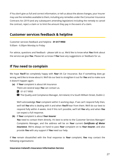If You don't give us full and correct information, or tell us about the above changes, your Insurer may use the remedies available to them, including any remedies under the Consumer Insurance Contracts Act 2019 (and any subsequent amending legislation) including the remedy to cancel the contract, reject a claim or to limit the amount they pay in the event of a claim.

# **Customer services feedback & helpline**

Customer services feedback and helpline - **01 617 9950** 9.00am - 6.00pm Monday to Friday

For advice, questions and feedback - please talk to us. We'd like to know what *You* think about the service we give *You*. Please let us know if *You* have any suggestions or feedback for us.

# **If** *You* **need to complain**

We hope *You'll* be completely happy with *Your* AA Car Insurance. But if something does go wrong, we'd like to know about it. We'll do our best to straighten it out for *You* and to make sure it doesn't happen again.

**(a)** If *Your* complaint is about AA Insurance

There are several ways *You* can contact us.

01 617 9950

**X** The Quality and Compliance Manager, AA Ireland, 61a South William Street, Dublin 2.

We'll acknowledge *Your* complaint within 5 working days. If we can't respond fully then, we'll tell *You* who is dealing with it and when *You'll* hear from them. We'll do our best to respond fully within 4 weeks. And if this isn't possible, we'll tell *You* why and when *You* can expect a full response.

**(b)** If *Your* complaint is about *Your Insurer*

*You* need to contact them directly. It's best to write to the Customer Services Manager/ Complaints Manager, and the address will be on *Your* current *Certificate of Motor Insurance*. We're always on hand to pass *Your* complaint on to *Your Insurer*, and also provide *You* with any support if *You* need our help.

If *You* remain dissatisfied with the final response to *Your* complaint, *You* may contact the following organisations:

#### **Insurance Ireland's Insurance Information Service**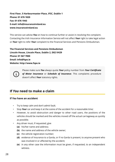**First Floor, 5 Harbourmaster Place, IFSC, Dublin 1 Phone: 01 676 1820 Fax: 01 676 1943 E-mail: info@insuranceireland.eu www.insuranceireland.eu**

This service can advise *You* on how to continue further or assist in resolving the complaint. Contacting the Irish Insurance Information Service will not affect *Your* right to take legal action or *Your* right to refer *Your* complaint to the Financial Services and Pensions Ombudsman.

**The Financial Services and Pensions Ombudsman Lincoln House, Lincoln Place, Dublin 2, D02 VH29 Phone: 01 567 7000 Email: info@fspo.ie Website: http://www.fspo.ie**

Please make sure *You* always quote *Your* policy number from *Your Certificate of Motor Insurance* or *Schedule of Insurance*. This complaints procedure doesn't affect *Your* statutory rights.

# **If** *You* **need to make a claim**

#### **If** *You* **have an accident**

- Try to keep calm and don't admit fault;
- Stop *Your* car and keep it at the scene of the accident for a reasonable time;
- However, to avoid obstruction and danger to other road users, the positions of the vehicles should be marked and the vehicles moved off the actual carriageway as quickly as possible;
- Any driver must, if requested, give
	- **(a)** his/her name and address;
	- **(b)** the name and address of the vehicle owner;
	- **(c)** the vehicle registration number;
	- **(d)** evidence of Insurance to a Garda, or if no Garda is present, to anyone present who was involved in or affected by the accident;
	- **(e)** in any other case the information must be given, if requested, to an independent witness.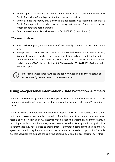- Where a person or persons are injured, the accident must be reported at the nearest Garda Station if no Garda is present at the scene of the accident;
- Where damage to property only is involved it is not necessary to report the accident at a Garda Station provided the driver gives necessary particulars as b) above to the person whose property has been damaged;
- Report the accident to AA Claims Assist on 0818 467 101 (open 24 hours).

#### **If** *You* **need to claim**

- First check *Your* policy and insurance certificate carefully to make sure that *Your* claim is valid;
- Then phone AA Claims Assist as soon as possible. We'll tell *You* what *You* need to do next;
- *You* may be required to fill in a claim form. If so, fill it in fully and send it to the address on the claim form as soon as *You* can. Please remember to enclose all the information and documents *You've* been asked for **AA Claims Assist**, **0818 467 101** - 24 hours a day 365 days a year.



Please remember that *You'll* need the policy number from *Your* certificate, disc or *Schedule Of Insurance* each time *You* contact us.

# **Using** *Your* **personal information - Data Protection Summary**

AA Ireland Limited trading as AA Insurance is part of The AA group of companies. A list of the companies within the AA Group can be obtained from the Secretary, 61a South William Street, Dublin 2.

AA Ireland will use *Your* personal information for the provision of insurance services and related matters such as complaint handling, detection of fraud and statistical analyses. Information we receive or hold on *You* as an AA customer may be used to generate an insurance quote. If providing us with information for any other person named on *Your* quotation or policy, it is important that they have agreed to their personal information being provided to us and *You* agree that *You* will bring this information to their attention at the earliest opportunity. The table overleaf describes the purpose of using *Your* personal data and the legal basis for doing this.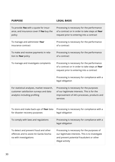| <b>PURPOSE</b>                                                                                                        | <b>LEGAL BASIS</b>                                                                                                                                                                           |
|-----------------------------------------------------------------------------------------------------------------------|----------------------------------------------------------------------------------------------------------------------------------------------------------------------------------------------|
| To provide You with a quote for insur-<br>ance, and insurance cover if You buy the<br>policy                          | Processing is necessary for the performance<br>of a contract or in order to take steps at Your<br>request prior to entering into a contract                                                  |
| To manage and administer Your<br>insurance contract                                                                   | Processing is necessary for the performance<br>of a contract                                                                                                                                 |
| To make and receive payments in rela-<br>tion to Your policy                                                          | Processing is necessary for the performance<br>of a contract                                                                                                                                 |
| To manage and investigate complaints                                                                                  | Processing is necessary for the performance<br>of a contract or in order to take steps at Your<br>request prior to entering into a contract<br>Processing is necessary for compliance with a |
|                                                                                                                       | legal obligation                                                                                                                                                                             |
| For statistical analyses, market research,<br>customer satisfaction surveys and data<br>analytics including profiling | Processing is necessary for the purposes<br>of our legitimate interests. This is for the<br>improvement of AA's processes, products and<br>services                                          |
| To store and make back-ups of Your data<br>for disaster recovery purposes                                             | Processing is necessary for compliance with a<br>legal obligation                                                                                                                            |
| To comply with laws and regulations                                                                                   | Processing is necessary for compliance with a<br>legal obligation                                                                                                                            |
| To detect and prevent fraud and other<br>offences and to assist An Garda Siocha-<br>na with investigations            | Processing is necessary for the purposes of<br>our legitimate interests. This is to investigate<br>and prevent potential fraudulent or other<br>illegal activity                             |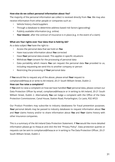#### **How else do we collect personal information about** *You***?**

The majority of the personal information we collect is received directly from *You*. We may also receive information from other people or companies such as -

- Vehicle history check/suppliers
- Through a database to determine address based risk factors (geocoding)
- Publicly available information (e.g. online)
- *Your Insurer*, after the contract of insurance is in place (e.g. in the event of a claim)

#### **What are** *Your* **rights over** *Your* **data that is held by AA?**

As a data subject *You* have the right to -

- Access the personal data that we hold on *You*
- Have inaccurate information about *You* corrected
- Have *Your* personal data erased. This applies in specific situations
- Withdraw *Your* consent for the processing of personal data
- Data portability which means *You* can request the personal data *You* provided to us, including requesting we send this to another company or person
- Restricting the processing of *Your* personal data

If *You* would like to request any of the above, please email *Your* request to

compliance@theaa.ie or write to AA Ireland, 20-21 South William Street, Dublin 2.

#### **How can** *You* **raise a complaint?**

If *You* wish to raise a complaint on how we have handled *Your* personal data, please contact our Data Protection Officer by email, compliance@theaa.ie or in writing to AA Ireland, 20-21 South William Street, Dublin 2. Alternatively *You* can lodge a complaint with the Office of the Data Protection Commissioner, Canal House, Station Road, Portarlington, Co Laois, R32 AP23

Our Product Providers may subscribe to industry databasess for fraud prevention purposes. *Your* personal details may be passed to industry databases to request information about *You* and *Your* claims history and/or to share information about *You* and *Your* claims history with other insurance companies.

This is a summary of the AA Ireland Data Protection Statement. If *You* would like more detailed information please go to theaa.ie and click the link "Privacy Policy". Data protection queries or requests can be sent to compliance@theaa.ie or in writing to The Data Protection Officer, 20-21 South William Street, Dublin 2